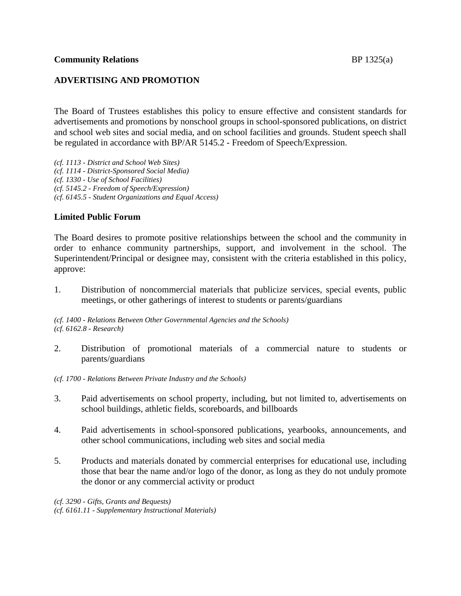# **ADVERTISING AND PROMOTION**

The Board of Trustees establishes this policy to ensure effective and consistent standards for advertisements and promotions by nonschool groups in school-sponsored publications, on district and school web sites and social media, and on school facilities and grounds. Student speech shall be regulated in accordance with BP/AR 5145.2 - Freedom of Speech/Expression.

*(cf. 1113 - District and School Web Sites) (cf. 1114 - District-Sponsored Social Media) (cf. 1330 - Use of School Facilities) (cf. 5145.2 - Freedom of Speech/Expression) (cf. 6145.5 - Student Organizations and Equal Access)*

## **Limited Public Forum**

The Board desires to promote positive relationships between the school and the community in order to enhance community partnerships, support, and involvement in the school. The Superintendent/Principal or designee may, consistent with the criteria established in this policy, approve:

1. Distribution of noncommercial materials that publicize services, special events, public meetings, or other gatherings of interest to students or parents/guardians

*(cf. 1400 - Relations Between Other Governmental Agencies and the Schools) (cf. 6162.8 - Research)*

2. Distribution of promotional materials of a commercial nature to students or parents/guardians

*(cf. 1700 - Relations Between Private Industry and the Schools)*

- 3. Paid advertisements on school property, including, but not limited to, advertisements on school buildings, athletic fields, scoreboards, and billboards
- 4. Paid advertisements in school-sponsored publications, yearbooks, announcements, and other school communications, including web sites and social media
- 5. Products and materials donated by commercial enterprises for educational use, including those that bear the name and/or logo of the donor, as long as they do not unduly promote the donor or any commercial activity or product

*(cf. 3290 - Gifts, Grants and Bequests)*

*(cf. 6161.11 - Supplementary Instructional Materials)*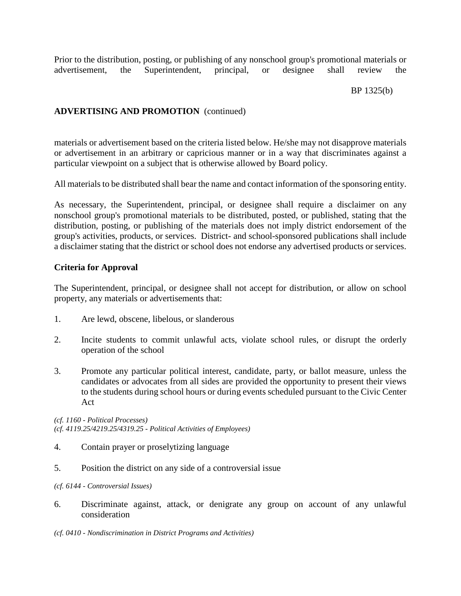Prior to the distribution, posting, or publishing of any nonschool group's promotional materials or advertisement, the Superintendent, principal, or designee shall review the

### BP 1325(b)

# **ADVERTISING AND PROMOTION** (continued)

materials or advertisement based on the criteria listed below. He/she may not disapprove materials or advertisement in an arbitrary or capricious manner or in a way that discriminates against a particular viewpoint on a subject that is otherwise allowed by Board policy.

All materials to be distributed shall bear the name and contact information of the sponsoring entity.

As necessary, the Superintendent, principal, or designee shall require a disclaimer on any nonschool group's promotional materials to be distributed, posted, or published, stating that the distribution, posting, or publishing of the materials does not imply district endorsement of the group's activities, products, or services. District- and school-sponsored publications shall include a disclaimer stating that the district or school does not endorse any advertised products or services.

### **Criteria for Approval**

The Superintendent, principal, or designee shall not accept for distribution, or allow on school property, any materials or advertisements that:

- 1. Are lewd, obscene, libelous, or slanderous
- 2. Incite students to commit unlawful acts, violate school rules, or disrupt the orderly operation of the school
- 3. Promote any particular political interest, candidate, party, or ballot measure, unless the candidates or advocates from all sides are provided the opportunity to present their views to the students during school hours or during events scheduled pursuant to the Civic Center Act

*(cf. 1160 - Political Processes) (cf. 4119.25/4219.25/4319.25 - Political Activities of Employees)*

- 4. Contain prayer or proselytizing language
- 5. Position the district on any side of a controversial issue

*(cf. 6144 - Controversial Issues)*

6. Discriminate against, attack, or denigrate any group on account of any unlawful consideration

*(cf. 0410 - Nondiscrimination in District Programs and Activities)*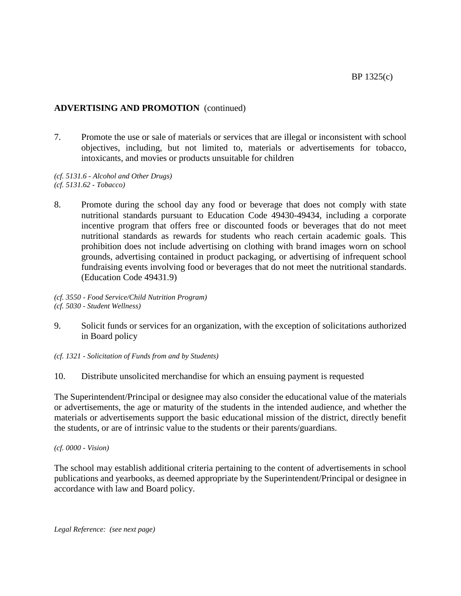# **ADVERTISING AND PROMOTION** (continued)

7. Promote the use or sale of materials or services that are illegal or inconsistent with school objectives, including, but not limited to, materials or advertisements for tobacco, intoxicants, and movies or products unsuitable for children

*(cf. 5131.6 - Alcohol and Other Drugs) (cf. 5131.62 - Tobacco)*

8. Promote during the school day any food or beverage that does not comply with state nutritional standards pursuant to Education Code 49430-49434, including a corporate incentive program that offers free or discounted foods or beverages that do not meet nutritional standards as rewards for students who reach certain academic goals. This prohibition does not include advertising on clothing with brand images worn on school grounds, advertising contained in product packaging, or advertising of infrequent school fundraising events involving food or beverages that do not meet the nutritional standards. (Education Code 49431.9)

*(cf. 3550 - Food Service/Child Nutrition Program) (cf. 5030 - Student Wellness)*

- 9. Solicit funds or services for an organization, with the exception of solicitations authorized in Board policy
- *(cf. 1321 - Solicitation of Funds from and by Students)*
- 10. Distribute unsolicited merchandise for which an ensuing payment is requested

The Superintendent/Principal or designee may also consider the educational value of the materials or advertisements, the age or maturity of the students in the intended audience, and whether the materials or advertisements support the basic educational mission of the district, directly benefit the students, or are of intrinsic value to the students or their parents/guardians.

*(cf. 0000 - Vision)*

The school may establish additional criteria pertaining to the content of advertisements in school publications and yearbooks, as deemed appropriate by the Superintendent/Principal or designee in accordance with law and Board policy.

*Legal Reference: (see next page)*